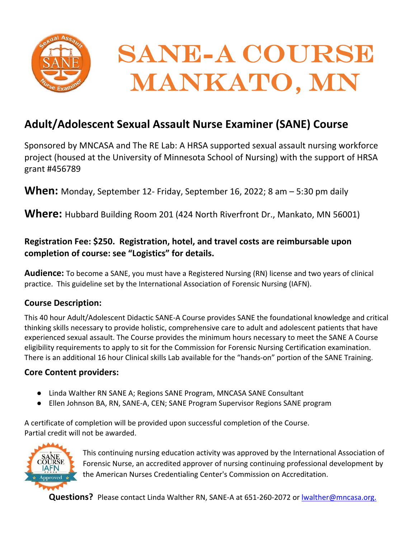

# **Adult/Adolescent Sexual Assault Nurse Examiner (SANE) Course**

Sponsored by MNCASA and The RE Lab: A HRSA supported sexual assault nursing workforce project (housed at the University of Minnesota School of Nursing) with the support of HRSA grant #456789

**When:** Monday, September 12‐ Friday, September 16, 2022; 8 am – 5:30 pm daily

**Where:** Hubbard Building Room 201 (424 North Riverfront Dr., Mankato, MN 56001)

# **Registration Fee: \$250. Registration, hotel, and travel costs are reimbursable upon completion of course: see "Logistics" for details.**

**Audience:** To become a SANE, you must have a Registered Nursing (RN) license and two years of clinical practice. This guideline set by the International Association of Forensic Nursing (IAFN).

# **Course Description:**

This 40 hour Adult/Adolescent Didactic SANE‐A Course provides SANE the foundational knowledge and critical thinking skills necessary to provide holistic, comprehensive care to adult and adolescent patients that have experienced sexual assault. The Course provides the minimum hours necessary to meet the SANE A Course eligibility requirements to apply to sit for the Commission for Forensic Nursing Certification examination. There is an additional 16 hour Clinical skills Lab available for the "hands‐on" portion of the SANE Training.

## **Core Content providers:**

- Linda Walther RN SANE A; Regions SANE Program, MNCASA SANE Consultant
- Ellen Johnson BA, RN, SANE-A, CEN; SANE Program Supervisor Regions SANE program

A certificate of completion will be provided upon successful completion of the Course. Partial credit will not be awarded.



This continuing nursing education activity was approved by the International Association of Forensic Nurse, an accredited approver of nursing continuing professional development by the American Nurses Credentialing Center's Commission on Accreditation.

Questions? Please contact Linda Walther RN, SANE-A at 651-260-2072 or lwalther@mncasa.org.